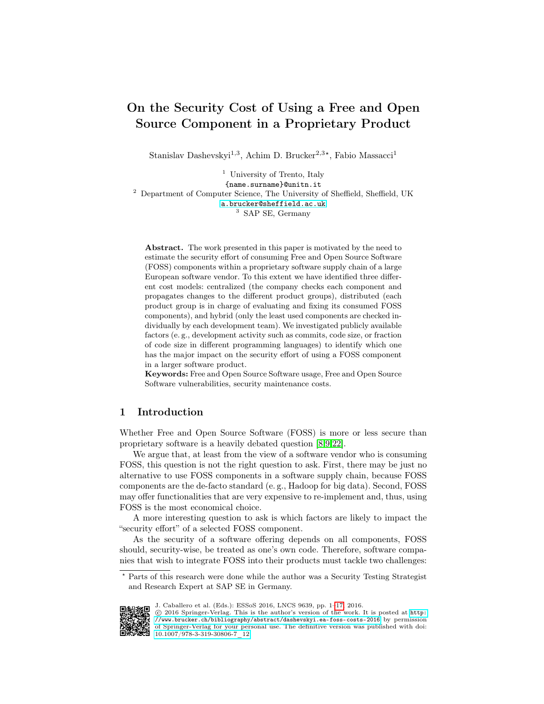# On the Security Cost of Using a Free and Open Source Component in a Proprietary Product

[Stanislav Dashevskyi](mailto:"Achim D. Brucker" <a.brucker@sheffield.ac.uk>)<sup>1,3</sup>, Achim D. Brucker<sup>2,3\*</sup>, Fabio Massacci<sup>1</sup>

<sup>1</sup> University of Trento, Italy {name.surname}@unitn.it <sup>2</sup> Department of Computer Science, The University of Sheffield, Sheffield, UK a.brucker@sheffield.ac.uk <sup>3</sup> SAP SE, Germany

Abstract. The work presented in this paper is motivated by the need to estimate the security effort of consuming Free and Open Source Software (FOSS) components within a proprietary software supply chain of a large European software vendor. To this extent we have identified three different cost models: centralized (the company checks each component and propagates changes to the different product groups), distributed (each product group is in charge of evaluating and fixing its consumed FOSS components), and hybrid (only the least used components are checked individually by each development team). We investigated publicly available factors (e. g., development activity such as commits, code size, or fraction of code size in different programming languages) to identify which one has the major impact on the security effort of using a FOSS component in a larger software product.

Keywords: Free and Open Source Software usage, Free and Open Source Software vulnerabilities, [sec](#page-15-0)[u](#page-15-1)[rity](#page-16-0) maintenance costs.

# 1 Introduction

Whether Free and Open Source Software (FOSS) is more or less secure than proprietary software is a heavily debated question [8,9,22].

We argue that, at least from the view of a software vendor who is consuming FOSS, this question is not the right question to ask. First, there may be just no alternative to use FOSS components in a software supply chain, because FOSS components are the de-facto standard (e. g., Hadoop for big data). Second, FOSS may offer functionalities that are very expensive to re-implement and, thus, using FOSS is the most economical choice.

A more interesting question to ask is which factors are likely to impact the "security effort" of a selected FOSS component.

As the security of a software offering depends on all components, FOSS should, security-wise, be treated a[s o](#page-14-0)ne's own code. Therefore, software compa[nies that wish to integrate FOSS into their prod](http://www.brucker.ch/bibliography/abstract/dashevskyi.ea-foss-costs-2016)ucts [must t](http://www.brucker.ch/bibliography/abstract/dashevskyi.ea-foss-costs-2016)ackle two challenges:

<sup>?</sup> [Parts of thi](http://dx.doi.org/10.1007/978-3-319-30806-7_12)s research were done while the author was a Security Testing Strategist and Research Expert at SAP SE in Germany.



J. Caballero et al. (Eds.): ESSoS 2016, LNCS 9639, pp. 1–17, 2016.

c 2016 Springer-Verlag. This is the author's version of the work. It is posted at http: //www.brucker.ch/bibliography/abstract/dashevskyi.ea-foss-costs-2016 by permission of Springer-Verlag for your personal use. The definitive version was published with doi: 10.1007/978-3-319-30806-7\_12.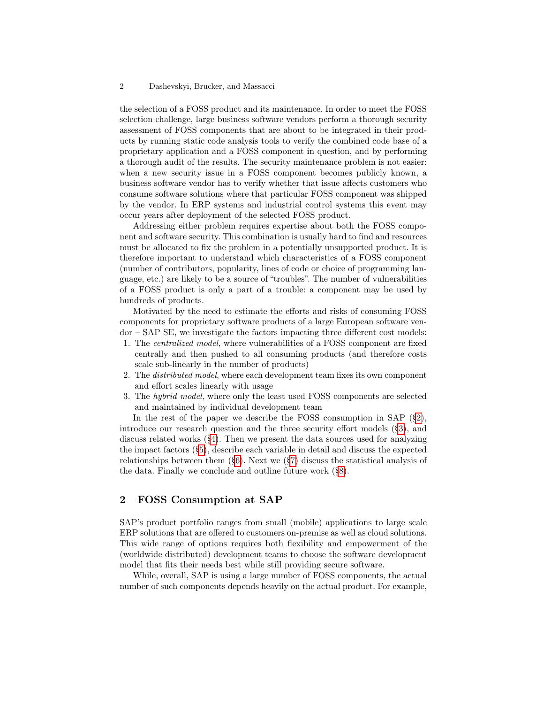the selection of a FOSS product and its maintenance. In order to meet the FOSS selection challenge, large business software vendors perform a thorough security assessment of FOSS components that are about to be integrated in their products by running static code analysis tools to verify the combined code base of a proprietary application and a FOSS component in question, and by performing a thorough audit of the results. The security maintenance problem is not easier: when a new security issue in a FOSS component becomes publicly known, a business software vendor has to verify whether that issue affects customers who consume software solutions where that particular FOSS component was shipped by the vendor. In ERP systems and industrial control systems this event may occur years after deployment of the selected FOSS product.

Addressing either problem requires expertise about both the FOSS component and software security. This combination is usually hard to find and resources must be allocated to fix the problem in a potentially unsupported product. It is therefore important to understand which characteristics of a FOSS component (number of contributors, popularity, lines of code or choice of programming language, etc.) are likely to be a source of "troubles". The number of vulnerabilities of a FOSS product is only a part of a trouble: a component may be used by hundreds of products.

Motivated by the need to estimate the efforts and risks of consuming FOSS components for proprietary software products of a large European software vendor – SAP SE, we investigate the factors impacting three different cost models:

- 1. The centralized model, where vulnerabilities of a FOSS component are fixed centrally and then pushed to all consuming products (and therefore costs scale sub-linearly in the number of products)
- 2. The distributed model, where each development [te](#page-3-0)am fixes its own component [a](#page-6-0)nd effort scales linearly with usage
- 3. The hybrid model, where only the least used FOSS components are selected and [m](#page-8-0)aintained by [in](#page-12-0)dividual development team

In the rest of the paper we de[scr](#page-14-1)ibe the FOSS consumption in SAP (§2), introduce our research question and the three security effort models (§3), and discuss related works (§4). Then we present the data sources used for analyzing the impact factors (§5), describe each variable in detail and discuss the expected relationships between them  $(\S6)$ . Next we  $(\S7)$  discuss the statistical analysis of the data. Finally we conclude and outline future work (§8).

# 2 FOSS Consumption at SAP

SAP's product portfolio ranges from small (mobile) applications to large scale ERP solutions that are offered to customers on-premise as well as cloud solutions. This wide range of options requires both flexibility and empowerment of the (worldwide distributed) development teams to choose the software development model that fits their needs best while still providing secure software.

While, overall, SAP is using a large number of FOSS components, the actual number of such components depends heavily on the actual product. For example,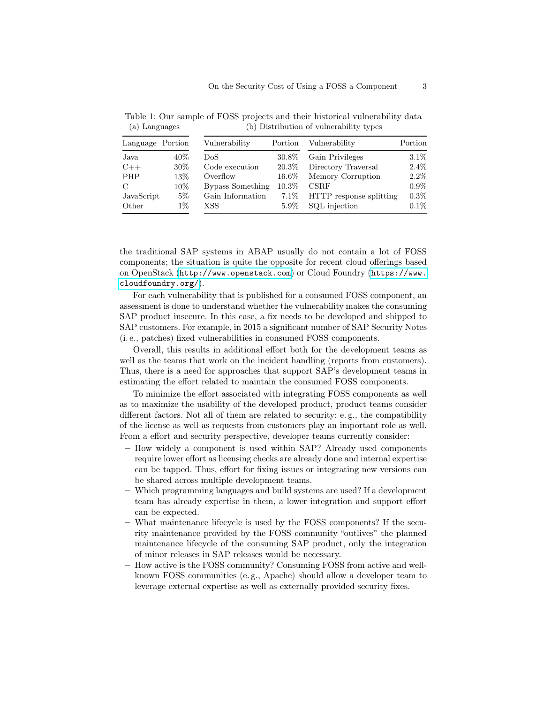| Language Portion |        | Vulnerability    | Portion  | Vulnerability           | Portion |
|------------------|--------|------------------|----------|-------------------------|---------|
| Java             | $40\%$ | DoS              | 30.8%    | Gain Privileges         | $3.1\%$ |
| $C++$            | $30\%$ | Code execution   | $20.3\%$ | Directory Traversal     | $2.4\%$ |
| <b>PHP</b>       | $13\%$ | Overflow         | $16.6\%$ | Memory Corruption       | $2.2\%$ |
| $\mathcal{C}$    | $10\%$ | Bypass Something | $10.3\%$ | <b>CSRF</b>             | $0.9\%$ |
| JavaScript       | $5\%$  | Gain Information | $7.1\%$  | HTTP response splitting | $0.3\%$ |
| Other            | $1\%$  | XSS              | $5.9\%$  | SQL injection           | $0.1\%$ |

Table 1: Our sample of FOSS projects and their historical vulnerability data (a) Languages (b) Distribution of vulnerability types

the traditional SAP systems in ABAP usually do not contain a lot of FOSS components; the situation is quite the opposite for recent cloud offerings based on OpenStack (http://www.openstack.com) or Cloud Foundry (https://www. cloudfoundry.org/).

For each vulnerability that is published for a consumed FOSS component, an assessment is done to understand whether the vulnerability makes the consuming SAP product insecure. In this case, a fix needs to be developed and shipped to SAP customers. For example, in 2015 a significant number of SAP Security Notes (i. e., patches) fixed vulnerabilities in consumed FOSS components.

Overall, this results in additional effort both for the development teams as well as the teams that work on the incident handling (reports from customers). Thus, there is a need for approaches that support SAP's development teams in estimating the effort related to maintain the consumed FOSS components.

To minimize the effort associated with integrating FOSS components as well as to maximize the usability of the developed product, product teams consider different factors. Not all of them are related to security: e. g., the compatibility of the license as well as requests from customers play an important role as well. From a effort and security perspective, developer teams currently consider:

- How widely a component is used within SAP? Already used components require lower effort as licensing checks are already done and internal expertise can be tapped. Thus, effort for fixing issues or integrating new versions can be shared across multiple development teams.
- Which programming languages and build systems are used? If a development team has already expertise in them, a lower integration and support effort can be expected.
- What maintenance lifecycle is used by the FOSS components? If the security maintenance provided by the FOSS community "outlives" the planned maintenance lifecycle of the consuming SAP product, only the integration of minor releases in SAP releases would be necessary.
- How active is the FOSS community? Consuming FOSS from active and wellknown FOSS communities (e. g., Apache) should allow a developer team to leverage external expertise as well as externally provided security fixes.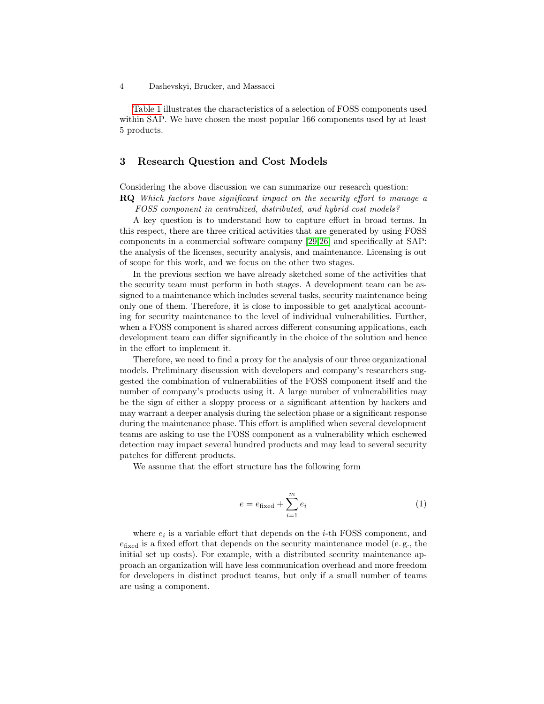<span id="page-3-0"></span>Table 1 illustrates the characteristics of a selection of FOSS components used within SAP. We have chosen the most popular 166 components used by at least 5 products.

# 3 Research Question and Cost Models

Considering the above disc[ussi](#page-16-1)[on](#page-16-2) we can summarize our research question:

RQ Which factors have significant impact on the security effort to manage a FOSS component in centralized, distributed, and hybrid cost models?

A key question is to understand how to capture effort in broad terms. In this respect, there are three critical activities that are generated by using FOSS components in a commercial software company [29,26] and specifically at SAP: the analysis of the licenses, security analysis, and maintenance. Licensing is out of scope for this work, and we focus on the other two stages.

In the previous section we have already sketched some of the activities that the security team must perform in both stages. A development team can be assigned to a maintenance which includes several tasks, security maintenance being only one of them. Therefore, it is close to impossible to get analytical accounting for security maintenance to the level of individual vulnerabilities. Further, when a FOSS component is shared across different consuming applications, each development team can differ significantly in the choice of the solution and hence in the effort to implement it.

Therefore, we need to find a proxy for the analysis of our three organizational models. Preliminary discussion with developers and company's researchers suggested the combination of vulnerabilities of the FOSS component itself and the number of company's products using it. A large number of vulnerabilities may be the sign of either a sloppy process or a significant attention by hackers and may warrant a deeper analysis during the selection phase or a significant response during the maintenance phase. This effort is amplified when several development teams are asking to use the FOSS component as a vulnerability which eschewed detection may impact several hundred products and may lead to several security patches for different products.

We assume that the effort structure has the following form

$$
e = e_{\text{fixed}} + \sum_{i=1}^{m} e_i \tag{1}
$$

where  $e_i$  is a variable effort that depends on the *i*-th FOSS component, and  $e_{\text{fixed}}$  is a fixed effort that depends on the security maintenance model (e.g., the initial set up costs). For example, with a distributed security maintenance approach an organization will have less communication overhead and more freedom for developers in distinct product teams, but only if a small number of teams are using a component.

<sup>4</sup> Dashevskyi, Brucker, and Massacci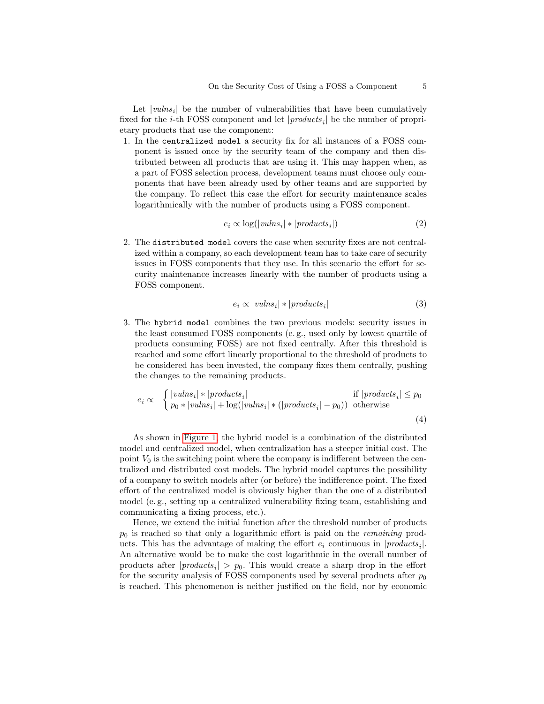Let  $|vulns_i|$  be the number of vulnerabilities that have been cumulatively fixed for the *i*-th FOSS component and let  $|products_i|$  be the number of proprietary products that use the component:

1. In the centralized model a security fix for all instances of a FOSS component is issued once by the security team of the company and then distributed between all products that are using it. This may happen when, as a part of FOSS selection process, development teams must choose only components that have been already used by other teams and are supported by the company. To reflect this case the effort for security maintenance scales logarithmically with the number of products using a FOSS component.

$$
e_i \propto \log(|vulns_i| * |products_i|)
$$
 (2)

2. The distributed model covers the case when security fixes are not centralized within a company, so each development team has to take care of security issues in FOSS components that they use. In this scenario the effort for security maintenance increases linearly with the number of products using a FOSS component.

$$
e_i \propto |vulns_i| * |products_i| \tag{3}
$$

3. The hybrid model combines the two previous models: security issues in the least consumed FOSS components (e. g., used only by lowest quartile of products consuming FOSS) are not fixed centrally. After this threshold is reached and some effort linearly proportional to the threshold of products to be considered has been invested, the company fixes them centrally, pushing [t](#page-5-0)he changes to the remaining products.

$$
e_i \propto \begin{cases} |vulns_i| * |products_i| & \text{if } |products_i| \le p_0 \\ p_0 * |vulns_i| + \log(|vulns_i| * (|products_i| - p_0)) & \text{otherwise} \end{cases}
$$
(4)

As shown in Figure 1, the hybrid model is a combination of the distributed model and centralized model, when centralization has a steeper initial cost. The point  $V_0$  is the switching point where the company is indifferent between the centralized and distributed cost models. The hybrid model captures the possibility of a company to switch models after (or before) the indifference point. The fixed effort of the centralized model is obviously higher than the one of a distributed model (e. g., setting up a centralized vulnerability fixing team, establishing and communicating a fixing process, etc.).

Hence, we extend the initial function after the threshold number of products  $p<sub>0</sub>$  is reached so that only a logarithmic effort is paid on the *remaining* products. This has the advantage of making the effort  $e_i$  continuous in  $|products_i|$ . An alternative would be to make the cost logarithmic in the overall number of products after  $|products_i| > p_0$ . This would create a sharp drop in the effort for the security analysis of FOSS components used by several products after  $p_0$ is reached. This phenomenon is neither justified on the field, nor by economic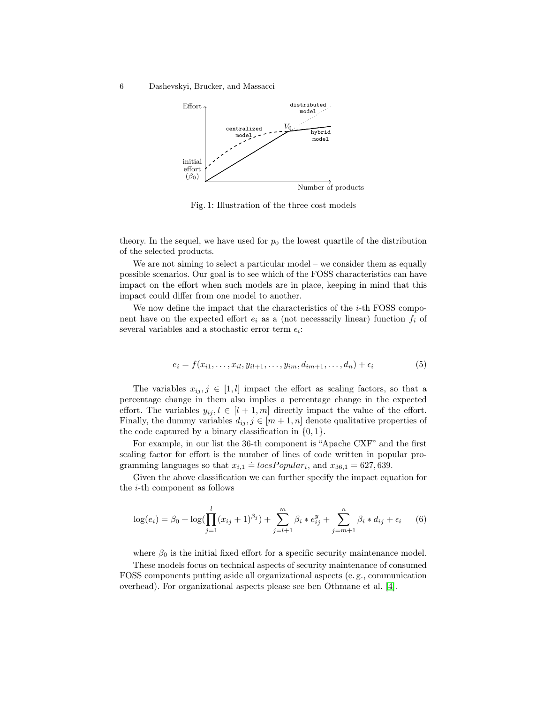<span id="page-5-0"></span>6 Dashevskyi, Brucker, and Massacci



Fig. 1: Illustration of the three cost models

theory. In the sequel, we have used for  $p_0$  the lowest quartile of the distribution of the selected products.

We are not aiming to select a particular model – we consider them as equally possible scenarios. Our goal is to see which of the FOSS characteristics can have impact on the effort when such models are in place, keeping in mind that this impact could differ from one model to another.

We now define the impact that the characteristics of the  $i$ -th FOSS component have on the expected effort  $e_i$  as a (not necessarily linear) function  $f_i$  of several variables and a stochastic error term  $\epsilon_i$ :

$$
e_i = f(x_{i1}, \dots, x_{il}, y_{il+1}, \dots, y_{im}, d_{im+1}, \dots, d_n) + \epsilon_i
$$
\n(5)

The variables  $x_{ij}$ ,  $j \in [1, l]$  impact the effort as scaling factors, so that a percentage change in them also implies a percentage change in the expected effort. The variables  $y_{ij}, l \in [l+1, m]$  directly impact the value of the effort. Finally, the dummy variables  $d_{ij}$ ,  $j \in [m+1,n]$  denote qualitative properties of the code captured by a binary classification in  $\{0, 1\}.$ 

For example, in our list the 36-th component is "Apache CXF" and the first scaling factor for effort is the number of lines of code written in popular programming languages so that  $x_{i,1} \doteq \log Popular_i$ , and  $x_{36,1} = 627,639$ .

Given the above classification we can further specify the impact equation for the i-th component as follows

$$
\log(e_i) = \beta_0 + \log(\prod_{j=1}^l (x_{ij} + 1)^{\beta_j}) + \sum_{j=l+1}^m \beta_i * e_{ij}^y + \sum_{j=m+1}^n \beta_i * d_{ij} + \epsilon_i \tag{6}
$$

where  $\beta_0$  is the initial fixed effort for a specific security maintenance model.

These models focus on technical aspects of security maintenance of consumed FOSS components putting aside all organizational aspects (e. g., communication overhead). For organizational aspects please see ben Othmane et al. [4].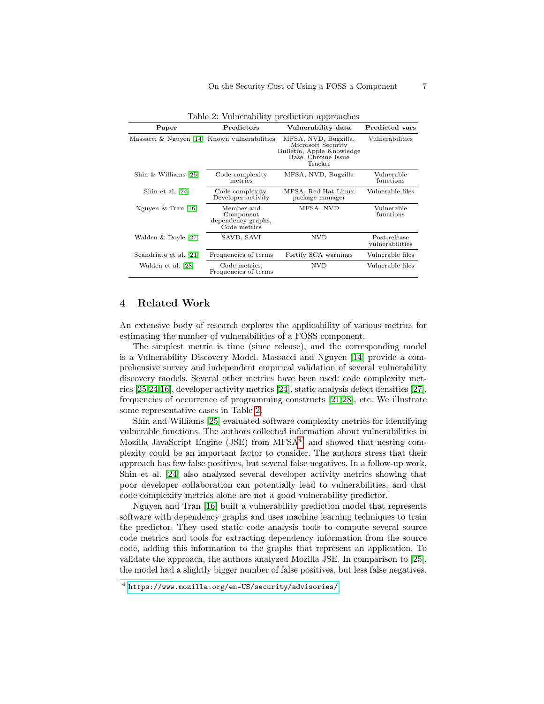<span id="page-6-1"></span>

| rable 2. Vullerability prediction approaches |                                                               |                                                                                                          |                                 |  |  |
|----------------------------------------------|---------------------------------------------------------------|----------------------------------------------------------------------------------------------------------|---------------------------------|--|--|
| Paper                                        | Predictors                                                    | Vulnerability data                                                                                       | Predicted vars                  |  |  |
| Massacci & Nguyen [14] Known vulnerabilities |                                                               | MFSA, NVD, Bugzilla,<br>Microsoft Security<br>Bulletin, Apple Knowledge<br>Base, Chrome Issue<br>Tracker | Vulnerabilities                 |  |  |
| Shin & Williams $[25]$                       | Code complexity<br>metrics                                    | MFSA, NVD, Bugzilla                                                                                      | Vulnerable<br>functions         |  |  |
| Shin et al. [24]                             | Code complexity,<br>Developer activity                        | MFSA, Red Hat Linux<br>package manager                                                                   | Vulnerable files                |  |  |
| Nguyen $&$ Tran [16]                         | Member and<br>Component<br>dependency graphs,<br>Code metrics | MFSA, NVD                                                                                                | Vulnerable<br>functions         |  |  |
| Walden & Doyle [27]                          | SAVD, SAVI                                                    | NVD                                                                                                      | Post-release<br>vulnerabilities |  |  |
| Scandriato et al. [21]                       | Frequencies of terms                                          | Fortify SCA warnings                                                                                     | Vulnerable files                |  |  |
| Walden et al. [28]                           | Code metrics,<br>Frequencies of terms                         | <b>NVD</b>                                                                                               | Vulnerable files                |  |  |

Table 2: Vulnerability prediction approaches

# <span id="page-6-0"></span>4 Related Work

An extensive body of research explores the applicability of various metrics for estimating the num[ber](#page-16-3) of vulnerabilities of a FOSS co[mp](#page-16-4)onent.

The simplest metric is time [\(si](#page-16-5)[nce](#page-16-6) release), and the corresponding model is a Vulnerab[ili](#page-6-1)ty Discovery Model. Massacci and Nguyen [14] provide a comp[reh](#page-16-7)ensive survey and independent empirical validation of several vulnerability discovery models. Several other metrics have been used: code complexity metrics [25,24,16], developer [ac](#page-6-2)tivity metrics [24], static analysis defect densities [27], frequencies of occurrence of programming constructs [21,28], etc. We illustrate some representative cases in Table 2.

Shin and Williams [25] evaluated software complexity metrics for identifying vulnerable functions. The authors collected information about vulnerabilities in Mozilla JavaScript Engine (JSE) from MFSA<sup>4</sup>, and showed that nesting com[plex](#page-15-2)ity could be an important factor to consider. The authors stress that their approach has few false positives, but several false negatives. In a follow-up work, Shin et al. [24] also analyzed several developer activity metrics showing that poor developer collaboration can potentially lead to vulnerabilities, and that code complexity metrics alone are not a good vulnerability predictor.

<span id="page-6-2"></span>Nguyen and Tran [16] built a vulnerability predicti[on](#page-16-7) model that represents software with dependency graphs and uses machine learning techniques to train [the predictor. They used static cod](https://www.mozilla.org/en-US/security/advisories/)e analysis tools to compute several source code metrics and tools for extracting dependency information from the source code, adding this information to the graphs that represent an application. To validate the approach, the authors analyzed Mozilla JSE. In comparison to [25], the model had a slightly bigger number of false positives, but less false negatives.

 $^4$  https://www.mozilla.org/en-US/security/advisories/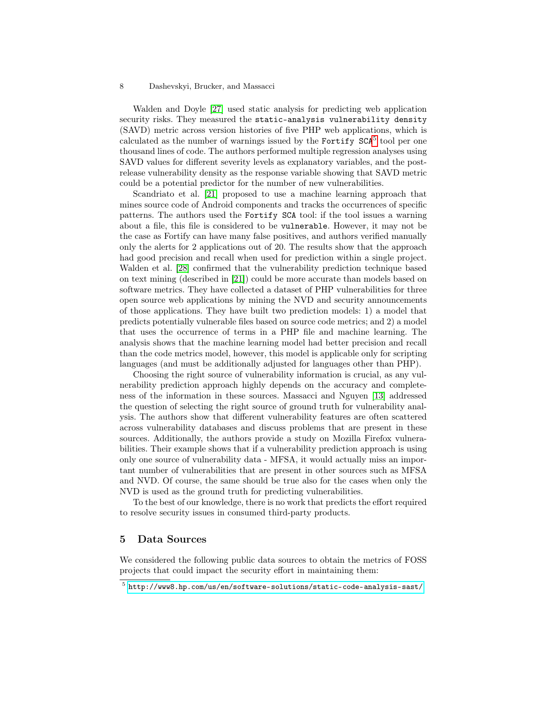#### 8 Dashevskyi, Brucker, and Massacci

Walden and Doyle [27] used static analysis for predicting web application security risks. They measured the static-analysis vulnerability density (SAVD) metric across version histories of five PHP web applications, which is c[alcu](#page-16-5)lated as the number of warnings issued by the  $\texttt{Fortify} \, \texttt{SCA}^5$  tool per one thousand lines of code. The authors performed multiple regression analyses using SAVD values for different severity levels as explanatory variables, and the postrelease vulnerability density as the response variable showing that SAVD metric could be a potential predictor for the number of new vulnerabilities.

Scandriato et al. [21] proposed to use a machine learning approach that mines source code of Android components and tracks the occurrences of specific patterns. The authors used the Fortify SCA tool: if the tool issues a warning about a [file](#page-16-5), this file is considered to be vulnerable. However, it may not be the case as Fortify can have many false positives, and authors verified manually only the alerts for 2 applications out of 20. The results show that the approach had good precision and recall when used for prediction within a single project. Walden et al. [28] confirmed that the vulnerability prediction technique based on text mining (described in [21]) could be more accurate than models based on software metrics. They have collected a dataset of PHP vulnerabilities for three open source web applications by mining the NVD and security announcements of those applications. They have built two prediction models: 1) a model that predicts potentially vulnerable files based on source code metrics; and 2) a model that uses the occurrence of terms in a PHP file and machine learning. The analysis shows that the machine learning m[ode](#page-15-3)l had better precision and recall than the code metrics model, however, this model is applicable only for scripting languages (and must be additionally adjusted for languages other than PHP).

Choosing the right source of vulnerability information is crucial, as any vulnerability prediction approach highly depends on the accuracy and completeness of the information in these sources. Massacci and Nguyen [13] addressed the question of selecting the right source of ground truth for vulnerability analysis. The authors show that different vulnerability features are often scattered across vulnerability databases and discuss problems that are present in these sources. Additionally, the authors provide a study on Mozilla Firefox vulnerabilities. Their example shows that if a vulnerability prediction approach is using only one source of vulnerability data - MFSA, it would actually miss an important number of vulnerabilities that are present in other sources such as MFSA and NVD. Of course, the same should be true also for the cases when only the NVD is used as the ground truth for predicting vulnerabilities.

To the best of our knowledge, there is no work that predicts the effort required to resolve security issues in consumed third-party products.

#### [5 Data Sources](http://www8.hp.com/us/en/software-solutions/static-code-analysis- sast/)

We considered the following public data sources to obtain the metrics of FOSS projects that could impact the security effort in maintaining them:

 $^5$  http://www8.hp.com/us/en/software-solutions/static-code-analysis-sast/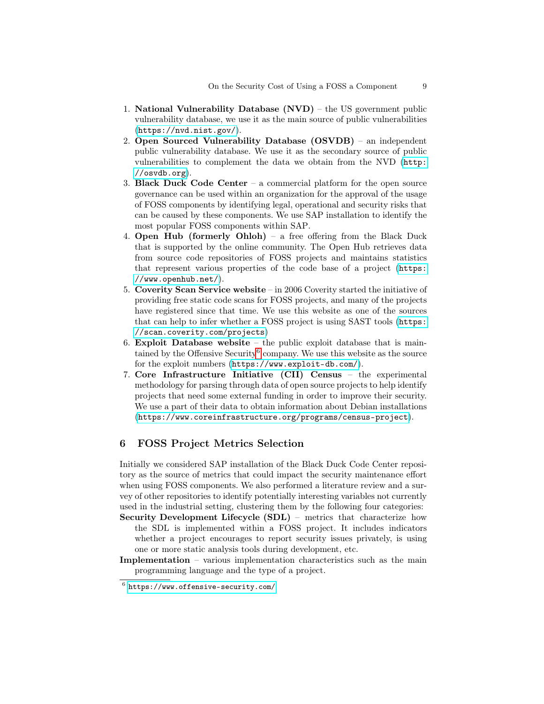- 1. National Vulnerability Database  $(NUD)$   [the U](http://osvdb.org)S government public vulnerability database, we use it as the main source of public vulnerabilities (https://nvd.nist.gov/).
- 2. Open Sourced Vulnerability Database (OSVDB) an independent public vulnerability database. We use it as the secondary source of public vulnerabilities to complement the data we obtain from the NVD (http: //osvdb.org).
- 3. Black Duck Code Center a commercial platform for the open source governance can be used within an organization for the approval of the usage of FOSS components by identifying legal, operational and security risks that can be caused by these components. We use S[AP instal](https://www.openhub.net/)lation to identify the [m](https://www.openhub.net/)ost popular FOSS components within SAP.
- 4. Open Hub (formerly Ohloh) a free offering from the Black Duck that is supported by the online community. The Open Hub retrieves data from source code repositories of FOSS projects and maintains statistics that represent various properties of the cod[e base o](https://scan.coverity.com/projects)f a project (https: [//www.openh](https://scan.coverity.com/projects)ub.net/).
- 5. Coverity Scan Service website in 2006 Coverity started the initiative of providing [fr](#page-8-1)ee static code scans for FOSS projects, and many of the projects hav[e registered since that time. We](https://www.exploit-db.com/) use this website as one of the sources that can help to infer whether a FOSS project is using SAST tools (https: //scan.coverity.com/projects)
- 6. Exploit Database website  $-$  the public exploit database that is maintained by the Offensive Security<sup>6</sup> company. We use this website as the source [for the exploit numbers \(](https://www.coreinfrastructure.org/programs/census-project)https://www.exploit-db.com/).
- <span id="page-8-0"></span>7. Core Infrastructure Initiative (CII) Census – the experimental methodology for parsing through data of open source projects to help identify projects that need some external funding in order to improve their security. We use a part of their data to obtain information about Debian installations (https://www.coreinfrastructure.org/programs/census-project).

# 6 FOSS Project Metrics Selection

Initially we considered SAP installation of the Black Duck Code Center repository as the source of metrics that could impact the security maintenance effort when using FOSS components. We also performed a literature review and a survey of other repositories to identify potentially interesting variables not currently used in the industrial setting, clustering them by the following four categories:

- <span id="page-8-1"></span>Security Development Lifecycle (SDL) – metrics that characterize how [the SDL is im](https://www.offensive-security.com/)plemented within a FOSS project. It includes indicators whether a project encourages to report security issues privately, is using one or more static analysis tools during development, etc.
- Implementation various implementation characteristics such as the main programming language and the type of a project.

 $^6$  https://www.offensive-security.com/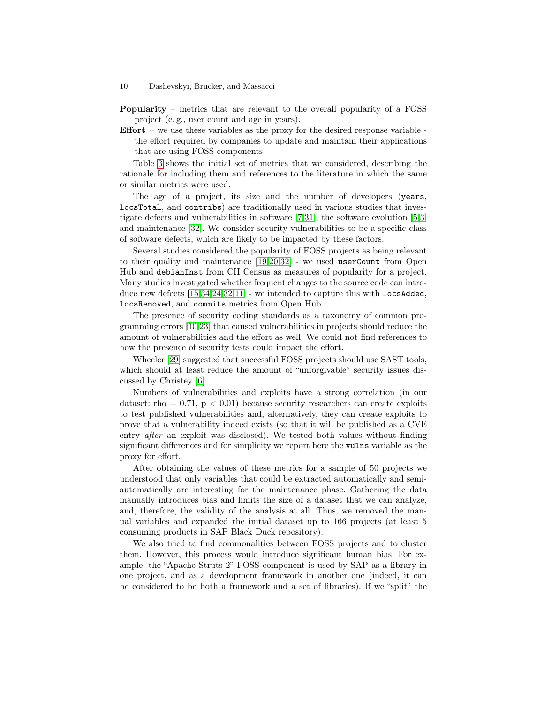10 Dashevskyi, Brucker, and Massacci

Popularity – metrics that are relevant to the overall popularity of a FOSS project (e. g., user count and age in years).

**Effort** – we use these variables as the proxy for the desired response variable the effort required by companies to update and maintain their applications that are using FOSS components.

Table 3 shows the i[nit](#page-15-4)[ial](#page-16-8) set of metrics that we c[on](#page-15-5)[si](#page-15-6)dered, describing the rationale for including them and references to the literature in which the same or similar metrics were used.

The age of a project, its size and the number of developers (years, locsTotal, a[nd](#page-15-7) [con](#page-15-8)[tri](#page-16-9)bs) are traditionally used in various studies that investigate defects and vulnerabilities in software [7,31], the software evolution [5,3] and maintenance [32]. We consider security vulnerabilities to be a specific class [of](#page-16-10) [sof](#page-16-3)[tw](#page-16-9)[are](#page-15-9) defects, which are likely to be impacted by these factors.

Several studies considered the popularity of FOSS projects as being relevant to their quality and maintenance [19,20,32] - we used userCount from Open [Hu](#page-16-11)b and debianInst from CII Census as measures of popularity for a project. Many studies investigated whether frequent changes to the source code can introduce new defects [15,34,24,32,11] - we intended to capture this with locsAdded, locsRemoved, and commits metrics from Open Hub.

The presence of security coding standards as a taxonomy of common pro[g](#page-15-10)ramming errors [10,23] that caused vulnerabilities in projects should reduce the amount of vulnerabilities and the effort as well. We could not find references to how the presence of security tests could impact the effort.

Wheeler [29] suggested that successful FOSS projects should use SAST tools, which should at least reduce the amount of "unforgivable" security issues discussed by Christey [6].

Numbers of vulnerabilities and exploits have a strong correlation (in our dataset: rho  $= 0.71$ ,  $p < 0.01$ ) because security researchers can create exploits to test published vulnerabilities and, alternatively, they can create exploits to prove that a vulnerability indeed exists (so that it will be published as a CVE entry after an exploit was disclosed). We tested both values without finding significant differences and for simplicity we report here the vulns variable as the proxy for effort.

After obtaining the values of these metrics for a sample of 50 projects we understood that only variables that could be extracted automatically and semiautomatically are interesting for the maintenance phase. Gathering the data manually introduces bias and limits the size of a dataset that we can analyze, and, therefore, the validity of the analysis at all. Thus, we removed the manual variables and expanded the initial dataset up to 166 projects (at least 5 consuming products in SAP Black Duck repository).

We also tried to find commonalities between FOSS projects and to cluster them. However, this process would introduce significant human bias. For example, the "Apache Struts 2" FOSS component is used by SAP as a library in one project, and as a development framework in another one (indeed, it can be considered to be both a framework and a set of libraries). If we "split" the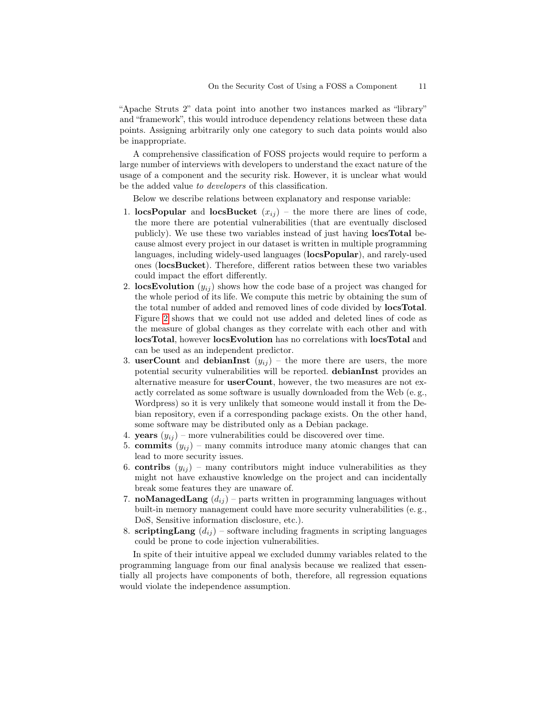"Apache Struts 2" data point into another two instances marked as "library" and "framework", this would introduce dependency relations between these data points. Assigning arbitrarily only one category to such data points would also be inappropriate.

A comprehensive classification of FOSS projects would require to perform a large number of interviews with developers to understand the exact nature of the usage of a component and the security risk. However, it is unclear what would be the added value to developers of this classification.

Below we describe relations between explanatory and response variable:

- 1. locsPopular and locsBucket  $(x_{ij})$  the more there are lines of code, the more there are potential vulnerabilities (that are eventually disclosed publicly). We use these two variables instead of just having locsTotal because almost every project in our dataset is written in multiple programming languages, including widely-used languages (locsPopular), and rarely-used ones (locsBucket). Therefore, different ratios between these two variables could impact the effort differently.
- 2. **locsEvolution**  $(y_{ij})$  shows how the code base of a project was changed for the whole period of its life. We compute this metric by obtaining the sum of the total number of added and removed lines of code divided by locsTotal. Figure 2 shows that we could not use added and deleted lines of code as the measure of global changes as they correlate with each other and with locsTotal, however locsEvolution has no correlations with locsTotal and can be used as an independent predictor.
- 3. userCount and debianInst  $(y_{ij})$  the more there are users, the more potential security vulnerabilities will be reported. debianInst provides an alternative measure for userCount, however, the two measures are not exactly correlated as some software is usually downloaded from the Web (e. g., Wordpress) so it is very unlikely that someone would install it from the Debian repository, even if a corresponding package exists. On the other hand, some software may be distributed only as a Debian package.
- 4. years  $(y_{ij})$  more vulnerabilities could be discovered over time.
- 5. commits  $(y_{ij})$  many commits introduce many atomic changes that can lead to more security issues.
- 6. contribs  $(y_{ij})$  many contributors might induce vulnerabilities as they might not have exhaustive knowledge on the project and can incidentally break some features they are unaware of.
- 7. noManagedLang  $(d_{ij})$  parts written in programming languages without built-in memory management could have more security vulnerabilities (e. g., DoS, Sensitive information disclosure, etc.).
- 8. scripting Lang  $(d_{ij})$  software including fragments in scripting languages could be prone to code injection vulnerabilities.

In spite of their intuitive appeal we excluded dummy variables related to the programming language from our final analysis because we realized that essentially all projects have components of both, therefore, all regression equations would violate the independence assumption.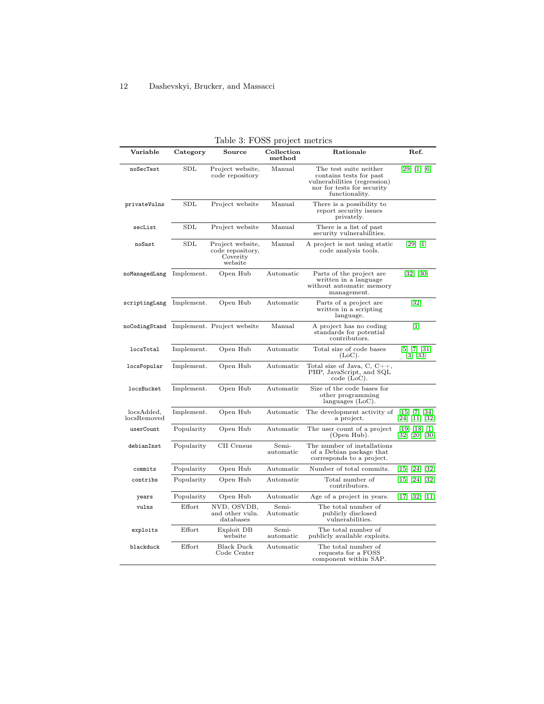| Variable                  | Category   | Source                                                      | Collection<br>$\mathbf{method}$ | Rationale                                                                                                                         | Ref.                                                                                                     |
|---------------------------|------------|-------------------------------------------------------------|---------------------------------|-----------------------------------------------------------------------------------------------------------------------------------|----------------------------------------------------------------------------------------------------------|
| noSecTest                 | SDL        | Project website,<br>code repository                         | Manual                          | The test suite neither<br>contains tests for past<br>vulnerabilities (regression)<br>nor for tests for security<br>functionality. | [29] [1] [6]                                                                                             |
| privateVulns              | SDL        | Project website                                             | Manual                          | There is a possibility to<br>report security issues<br>privately.                                                                 |                                                                                                          |
| secList                   | SDL        | Project website                                             | Manual                          | There is a list of past<br>security vulnerabilities.                                                                              |                                                                                                          |
| noSast                    | SDL        | Project website,<br>code repository,<br>Coverity<br>website | Manual                          | A project is not using static<br>code analysis tools.                                                                             | [29] [1]                                                                                                 |
| noManagedLang             | Implement. | Open Hub                                                    | Automatic                       | Parts of the project are<br>written in a language<br>without automatic memory<br>management.                                      | [32] [30]                                                                                                |
| scriptingLang Implement.  |            | Open Hub                                                    | Automatic                       | Parts of a project are<br>written in a scripting<br>language.                                                                     | $[32]$                                                                                                   |
|                           |            | noCodingStand Implement. Project website                    | Manual                          | A project has no coding<br>standards for potential<br>contributors.                                                               | $[1]$                                                                                                    |
| <b>locsTotal</b>          | Implement. | Open Hub                                                    | Automatic                       | Total size of code bases<br>(LoC).                                                                                                | $[5]$ $[7]$ $[31]$<br>[3] [33]                                                                           |
| locsPopular               | Implement. | Open Hub                                                    | Automatic                       | Total size of Java, C, $C_{++}$ ,<br>PHP, JavaScript, and SQL<br>code (LoC).                                                      |                                                                                                          |
| locsBucket                | Implement. | Open Hub                                                    | Automatic                       | Size of the code bases for<br>other programming<br>languages $(LoC)$ .                                                            |                                                                                                          |
| locsAdded,<br>locsRemoved | Implement. | Open Hub                                                    | Automatic                       | The development activity of<br>a project.                                                                                         | $\lceil 15 \rceil \lceil 7 \rceil \lceil 34 \rceil$<br>$\left[24\right] \left[11\right] \left[32\right]$ |
| userCount                 | Popularity | Open Hub                                                    | Automatic                       | The user count of a project<br>(Open Hub).                                                                                        | [19] [18] [1]<br> 32   20   30                                                                           |
| debianInst                | Popularity | CII Census                                                  | Semi-<br>automatic              | The number of installations<br>of a Debian package that<br>corresponds to a project.                                              |                                                                                                          |
| commits                   | Popularity | Open Hub                                                    | Automatic                       | Number of total commits.                                                                                                          | $\left[ 15\right]$ $\left[ 24\right]$ $\left[ 32\right]$                                                 |
| contribs                  | Popularity | Open Hub                                                    | Automatic                       | Total number of<br>contributors.                                                                                                  | $\left[ 15\right]$ $\left[ 24\right]$ $\left[ 32\right]$                                                 |
| years                     | Popularity | Open Hub                                                    | Automatic                       | Age of a project in years.                                                                                                        | [17] [32] [11]                                                                                           |
| vulns                     | Effort     | NVD, OSVDB,<br>and other vuln.<br>databases                 | Semi-<br>Automatic              | The total number of<br>publicly disclosed<br>vulnerabilities.                                                                     |                                                                                                          |
| exploits                  | Effort     | Exploit DB<br>website                                       | Semi-<br>automatic              | The total number of<br>publicly available exploits.                                                                               |                                                                                                          |
| blackduck                 | Effort     | <b>Black Duck</b><br>Code Center                            | Automatic                       | The total number of<br>requests for a FOSS<br>component within SAP.                                                               |                                                                                                          |

Table 3: FOSS project metrics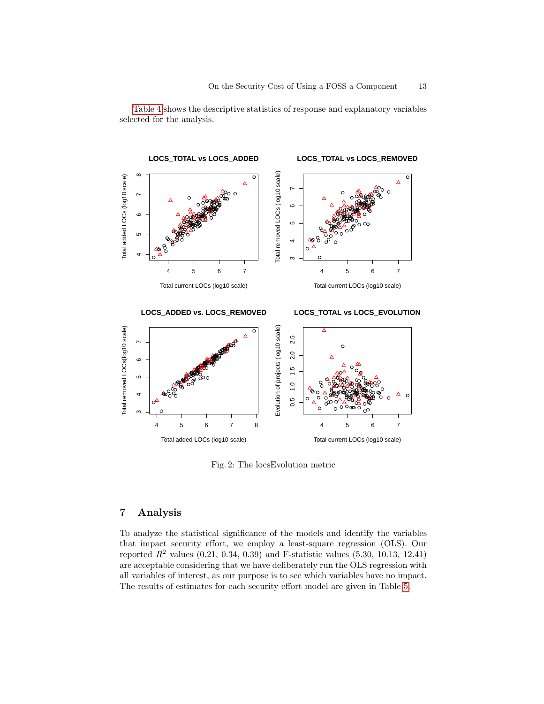Table 4 shows the descriptive statistics of response and explanatory variables selected for the analysis.



Fig. 2: The locsEvolution metric

# <span id="page-12-0"></span>7 Analysis

To analyze the statistical significance of the model[s a](#page-13-0)nd identify the variables that impact security effort, we employ a least-square regression (OLS). Our reported  $R^2$  values  $(0.21, 0.34, 0.39)$  and F-statistic values  $(5.30, 10.13, 12.41)$ are acceptable considering that we have deliberately run the OLS regression with all variables of interest, as our purpose is to see which variables have no impact. The results of estimates for each security effort model are given in Table 5.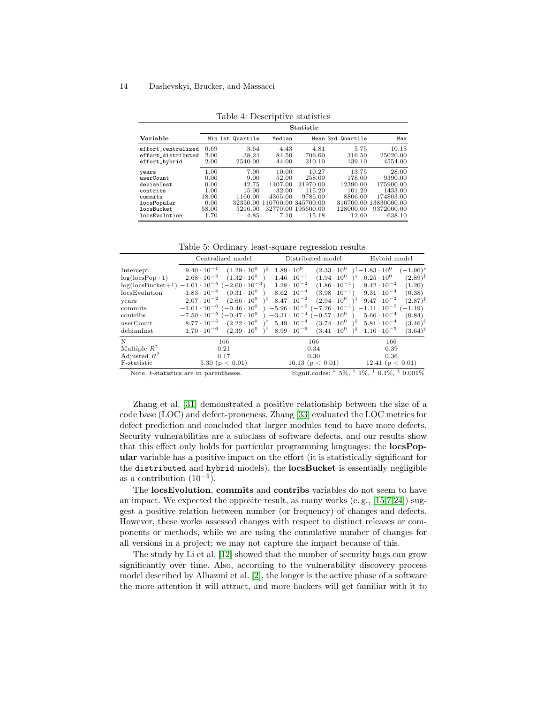<span id="page-13-0"></span>

|                                                                                                       | <b>Statistic</b>                                               |                                                                          |                                                       |                                                                                                        |                                                                                     |                                                                                              |
|-------------------------------------------------------------------------------------------------------|----------------------------------------------------------------|--------------------------------------------------------------------------|-------------------------------------------------------|--------------------------------------------------------------------------------------------------------|-------------------------------------------------------------------------------------|----------------------------------------------------------------------------------------------|
| Variable                                                                                              |                                                                | Min 1st Quartile                                                         | Median                                                |                                                                                                        | Mean 3rd Quartile                                                                   | Max                                                                                          |
| effort_centralized<br>effort distributed<br>effort_hybrid                                             | 0.69<br>2.00<br>2.00                                           | 3.64<br>38.24<br>2540.00                                                 | 4.43<br>84.50<br>44.00                                | 4.81<br>706.60<br>210.10                                                                               | 5.75<br>316.50<br>139.10                                                            | 10.13<br>25020.00<br>4554.00                                                                 |
| years<br>userCount<br>debianInst<br>contribs<br>commits<br>locsPopular<br>locsBucket<br>locsEvolution | 1.00<br>0.00<br>0.00<br>1.00<br>18.00<br>0.00<br>58.00<br>1.70 | 7.00<br>9.00<br>42.75<br>15.00<br>1160.00<br>32350.00<br>5216.00<br>4.85 | 10.00<br>52.00<br>1407.00<br>32.00<br>4365.00<br>7.10 | 10.27<br>258.00<br>21970.00<br>115.20<br>9785.00<br>110700.00 345700.00<br>32770.00 195600.00<br>15.18 | 13.75<br>178.00<br>12390.00<br>101.20<br>8806.00<br>310700.00<br>128000.00<br>12.60 | 28.00<br>9390.00<br>175900.00<br>1433.00<br>174803.00<br>13830000.00<br>9372000.00<br>638.10 |

Table 4: Descriptive statistics

Table 5: Ordinary least-square regression results

|                                                | Centralized model                                                   | Distributed model                                                  | Hybrid model                                     |  |  |
|------------------------------------------------|---------------------------------------------------------------------|--------------------------------------------------------------------|--------------------------------------------------|--|--|
| Intercept                                      | $(4.29 \cdot 10^{0})^{\frac{5}{3}}$<br>$9.40 \cdot 10^{-1}$         | $1.89 \cdot 10^{0}$<br>$(2.33 \cdot 10^{0}$                        | $)^{\dagger} - 1.83 \cdot 10^{0}$<br>$(-1.96)^*$ |  |  |
| $log(logPop+1)$                                | $2.68 \cdot 10^{-2}$<br>$(1.32 \cdot 10^{0}$                        | $1.46 \cdot 10^{-1}$<br>$(1.94 \cdot 10^{0}$                       | $0.25 \cdot 10^{0}$<br>$(2.89)^{\ddagger}$       |  |  |
| $log(logBucket+1)$                             | $-4.01 \cdot 10^{-5}$ $(-2.00 \cdot 10^{-3})$                       | $1.28 \cdot 10^{-2}$<br>$(1.86 \cdot 10^{-1})$                     | $9.42 \cdot 10^{-2}$<br>(1.20)                   |  |  |
| locsEvolution                                  | $1.83 \cdot 10^{-4}$<br>$(0.31 \cdot 10^{0}$                        | $8.62 \cdot 10^{-4}$<br>$(3.98 \cdot 10^{-1})$                     | $9.31 \cdot 10^{-4}$<br>(0.38)                   |  |  |
| years                                          | $2.07 \cdot 10^{-2}$<br>$(2.66 \cdot 10^{0}$                        | $8.47 \cdot 10^{-2}$<br>$(2.94 \cdot 10^{0})^{\ddagger}$           | $9.47 \cdot 10^{-2}$<br>$(2.87)^{T}$             |  |  |
| commits                                        | $-1.01 \cdot 10^{-6}$ (-0.46 $\cdot 10^{0}$ )                       | $-5.96 \cdot 10^{-6}$ $(-7.26 \cdot 10^{-1})$                      | $-1.11 \cdot 10^{-5}$<br>$(-1.19)$               |  |  |
| contribs                                       | $-7.50 \cdot 10^{-5}$ ( $-0.47 \cdot 10^{0}$ )                      | $-3.31 \cdot 10^{-4}$ ( $-0.57 \cdot 10^{0}$                       | $5.66 \cdot 10^{-4}$<br>(0.84)                   |  |  |
| userCount                                      | $8.77 \cdot 10^{-5}$ $(2.22 \cdot 10^{0}$<br>$\lambda$ <sup>T</sup> | $5.49 \cdot 10^{-4}$ $(3.74 \cdot 10^{0}$<br>$\lambda$             | $5.81 \cdot 10^{-4}$<br>$(3.46)^{8}$             |  |  |
| debianInst                                     | $1.70 \cdot 10^{-6}$ $(2.39 \cdot 10^{0})^{\dagger}$                | $8.99 \cdot 10^{-6}$ $(3.41 \cdot 10^{0}$                          | $1.10 \cdot 10^{-5}$<br>$(3.64)^{8}$             |  |  |
| N                                              | 166                                                                 | 166                                                                | 166                                              |  |  |
| Multiple $R^2$                                 | 0.21                                                                | 0.34                                                               | 0.39                                             |  |  |
| Adjusted $R^2$                                 | 0.17                                                                | 0.30                                                               | 0.36                                             |  |  |
| F-statistic                                    | 5.30 ( $p < 0.01$ )                                                 | 10.13 ( $p < 0.01$ )                                               | 12.41 ( $p < 0.01$ )                             |  |  |
| Note, <i>t</i> -statistics are in parentheses. |                                                                     | Signif.codes: * 5%, † 1%, $\frac{1}{7}$ 0.1%, $\frac{8}{7}$ 0.001% |                                                  |  |  |

Zhang et al. [31] demonstrated a positive relationship between the size of a code base (LOC) and defect-proneness. Zhang [33] evaluated the LOC metrics for defect prediction and concluded that larger modules tend to have more defects. Security vulnerabilities are a subclass of software defects, and our results show that this effect only holds for particular pro[gra](#page-15-12)[m](#page-15-4)[min](#page-16-3)g languages: the locsPopular variable has a positive impact on the effort (it is statistically significant for the distributed and hybrid models), the locsBucket is essentially negligible as a contribution  $(10^{-5})$ .

The locsEvolution, commits and contribs variables do not seem to have an i[mpa](#page-15-14)ct. We expected the opposite result, as many works (e. g., [15,7,24]) suggest a positive relation between number (or frequency) of changes and defects. However, the[se](#page-15-15) works assessed changes with respect to distinct releases or components or methods, while we are using the cumulative number of changes for all versions in a project; we may not capture the impact because of this.

The study by Li et al. [12] showed that the number of security bugs can grow significantly over time. Also, according to the vulnerability discovery process model described by Alhazmi et al. [2], the longer is the active phase of a software the more attention it will attract, and more hackers will get familiar with it to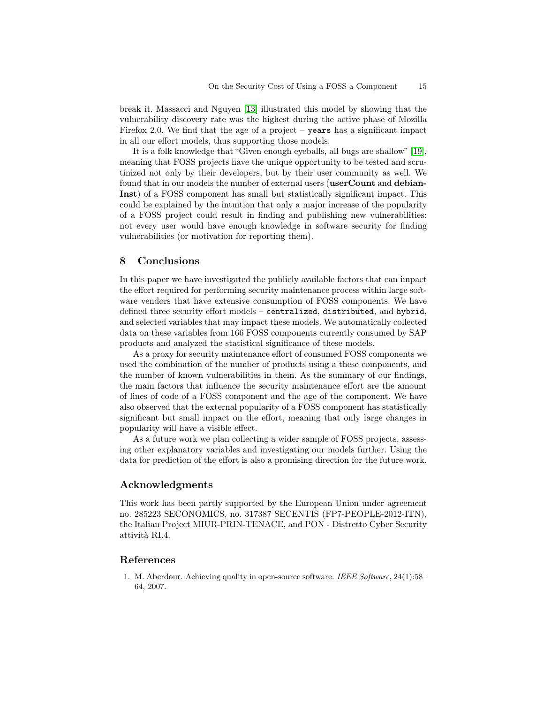break it. Massacci and Nguyen [13] illustrated this model by showing that the vulnerability discovery rate was the highest during the active phase of Mozilla Firefox 2.0. We find that the age of a project – years has a significant impact in all our effort models, thus supporting those models.

<span id="page-14-1"></span>It is a folk knowledge that "Given enough eyeballs, all bugs are shallow" [19], meaning that FOSS projects have the unique opportunity to be tested and scrutinized not only by their developers, but by their user community as well. We found that in our models the number of external users (userCount and debian-Inst) of a FOSS component has small but statistically significant impact. This could be explained by the intuition that only a major increase of the popularity of a FOSS project could result in finding and publishing new vulnerabilities: not every user would have enough knowledge in software security for finding vulnerabilities (or motivation for reporting them).

# 8 Conclusions

In this paper we have investigated the publicly available factors that can impact the effort required for performing security maintenance process within large software vendors that have extensive consumption of FOSS components. We have defined three security effort models – centralized, distributed, and hybrid, and selected variables that may impact these models. We automatically collected data on these variables from 166 FOSS components currently consumed by SAP products and analyzed the statistical significance of these models.

As a proxy for security maintenance effort of consumed FOSS components we used the combination of the number of products using a these components, and the number of known vulnerabilities in them. As the summary of our findings, the main factors that influence the security maintenance effort are the amount of lines of code of a FOSS component and the age of the component. We have also observed that the external popularity of a FOSS component has statistically significant but small impact on the effort, meaning that only large changes in popularity will have a visible effect.

As a future work we plan collecting a wider sample of FOSS projects, assessing other explanatory variables and investigating our models further. Using the data for prediction of the effort is also a promising direction for the future work.

## Acknowledgments

<span id="page-14-2"></span><span id="page-14-0"></span>This work has been partly supported by the European Union under agreement no. 285223 SECONOMICS, no. 317387 SECENTIS (FP7-PEOPLE-2012-ITN), the Italian Project MIUR-PRIN-TENACE, and PON - Distretto Cyber Security attività RI.4.

### References

1. M. Aberdour. Achieving quality in open-source software. IEEE Software, 24(1):58– 64, 2007.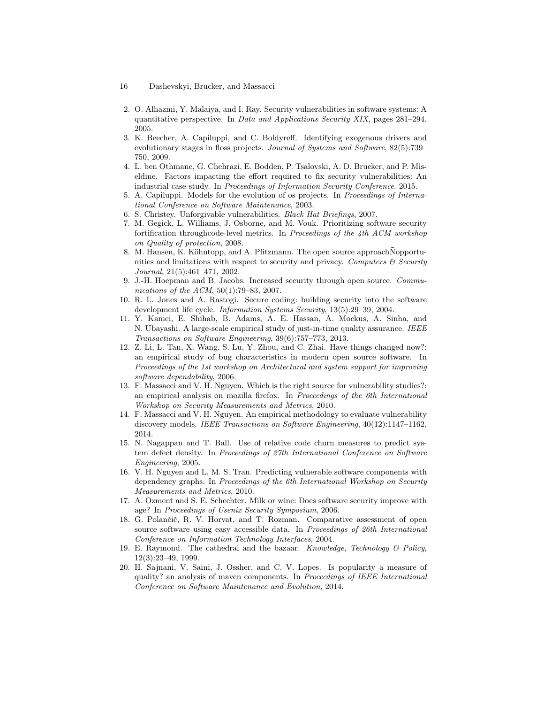- <span id="page-15-15"></span>2. O. Alhazmi, Y. Malaiya, and I. Ray. Security vulnerabilities in software systems: A quantitative perspective. In Data and Applications Security XIX, pages 281–294. 2005.
- <span id="page-15-6"></span>3. K. Beecher, A. Capiluppi, and C. Boldyreff. Identifying exogenous drivers and evolutionary stages in floss projects. Journal of Systems and Software, 82(5):739– 750, 2009.
- 4. L. ben Othmane, G. Chehrazi, E. Bodden, P. Tsalovski, A. D. Brucker, and P. Miseldine. Factors impacting the effort required to fix security vulnerabilities: An industrial case study. In Proceedings of Information Security Conference. 2015.
- <span id="page-15-5"></span>5. A. Capiluppi. Models for the evolution of os projects. In Proceedings of International Conference on Software Maintenance, 2003.
- <span id="page-15-10"></span>6. S. Christey. Unforgivable vulnerabilities. Black Hat Briefings, 2007.
- <span id="page-15-4"></span>7. M. Gegick, L. Williams, J. Osborne, and M. Vouk. Prioritizing software security fortification throughcode-level metrics. In Proceedings of the  $4th$  ACM workshop on Quality of protection, 2008.
- <span id="page-15-0"></span>8. M. Hansen, K. Köhntopp, and A. Pfitzmann. The open source approachÑopportunities and limitations with respect to security and privacy. Computers  $\mathcal{C}$  Security Journal, 21(5):461–471, 2002.
- <span id="page-15-1"></span>9. J.-H. Hoepman and B. Jacobs. Increased security through open source. Communications of the ACM, 50(1):79–83, 2007.
- 10. R. L. Jones and A. Rastogi. Secure coding: building security into the software development life cycle. Information Systems Security, 13(5):29–39, 2004.
- <span id="page-15-9"></span>11. Y. Kamei, E. Shihab, B. Adams, A. E. Hassan, A. Mockus, A. Sinha, and N. Ubayashi. A large-scale empirical study of just-in-time quality assurance. IEEE Transactions on Software Engineering, 39(6):757–773, 2013.
- <span id="page-15-14"></span>12. Z. Li, L. Tan, X. Wang, S. Lu, Y. Zhou, and C. Zhai. Have things changed now?: an empirical study of bug characteristics in modern open source software. In Proceedings of the 1st workshop on Architectural and system support for improving software dependability, 2006.
- <span id="page-15-3"></span>13. F. Massacci and V. H. Nguyen. Which is the right source for vulnerability studies?: an empirical analysis on mozilla firefox. In Proceedings of the 6th International Workshop on Security Measurements and Metrics, 2010.
- 14. F. Massacci and V. H. Nguyen. An empirical methodology to evaluate vulnerability discovery models. IEEE Transactions on Software Engineering, 40(12):1147–1162, 2014.
- <span id="page-15-12"></span>15. N. Nagappan and T. Ball. Use of relative code churn measures to predict system defect density. In Proceedings of 27th International Conference on Software Engineering, 2005.
- <span id="page-15-2"></span>16. V. H. Nguyen and L. M. S. Tran. Predicting vulnerable software components with dependency graphs. In Proceedings of the 6th International Workshop on Security Measurements and Metrics, 2010.
- <span id="page-15-13"></span>17. A. Ozment and S. E. Schechter. Milk or wine: Does software security improve with age? In Proceedings of Usenix Security Symposium, 2006.
- <span id="page-15-11"></span>18. G. Polančič, R. V. Horvat, and T. Rozman. Comparative assessment of open source software using easy accessible data. In Proceedings of 26th International Conference on Information Technology Interfaces, 2004.
- <span id="page-15-7"></span>19. E. Raymond. The cathedral and the bazaar. Knowledge, Technology  $\mathcal B$  Policy, 12(3):23–49, 1999.
- <span id="page-15-8"></span>20. H. Sajnani, V. Saini, J. Ossher, and C. V. Lopes. Is popularity a measure of quality? an analysis of maven components. In Proceedings of IEEE International Conference on Software Maintenance and Evolution, 2014.